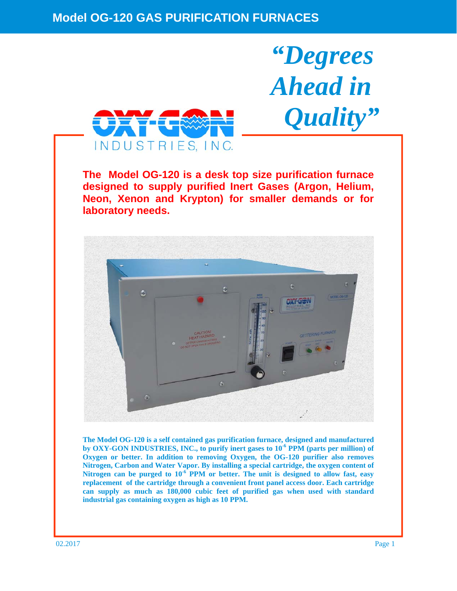

**The Model OG-120 is a desk top size purification furnace designed to supply purified Inert Gases (Argon, Helium, Neon, Xenon and Krypton) for smaller demands or for laboratory needs.** 

*"Degrees* 

*Ahead in* 

 *Quality"* 



**The Model OG-120 is a self contained gas purification furnace, designed and manufactured**  by OXY-GON INDUSTRIES, INC., to purify inert gases to 10<sup>-6</sup> PPM (parts per million) of **Oxygen or better. In addition to removing Oxygen, the OG-120 purifier also removes Nitrogen, Carbon and Water Vapor. By installing a special cartridge, the oxygen content of**  Nitrogen can be purged to  $10^{-6}$  PPM or better. The unit is designed to allow fast, easy **replacement of the cartridge through a convenient front panel access door. Each cartridge can supply as much as 180,000 cubic feet of purified gas when used with standard industrial gas containing oxygen as high as 10 PPM.**